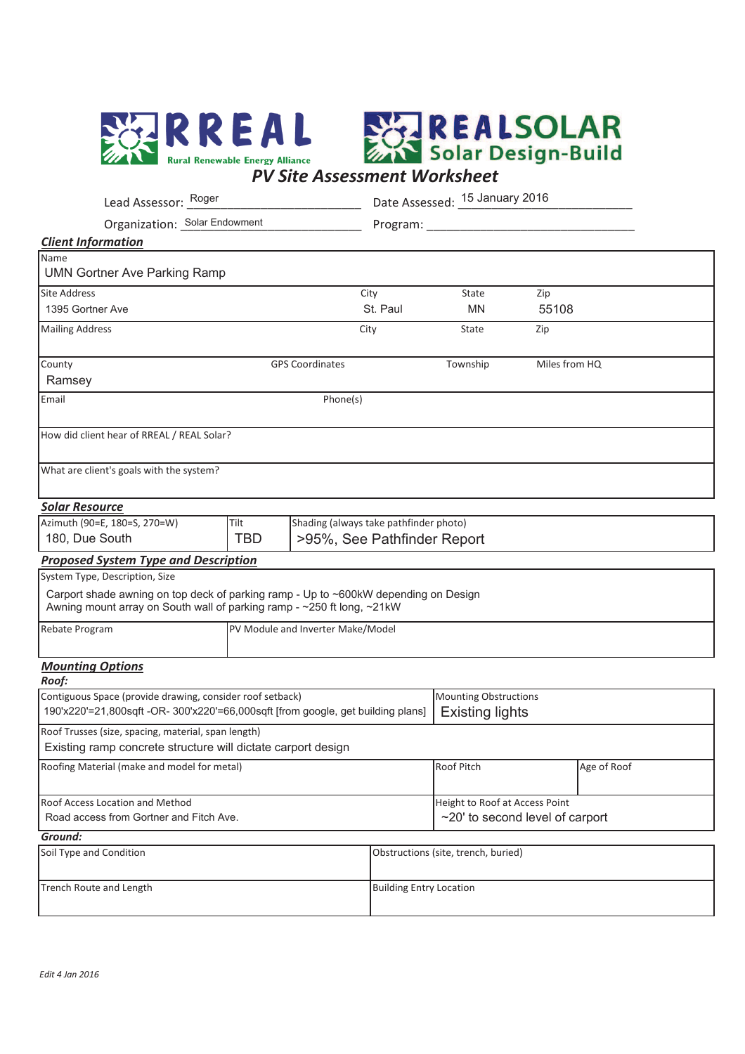



|                                                                                                                                                               | Lead Assessor: Roger                                   |                                        |                                | Date Assessed: 15 January 2016      |                                 |  |  |
|---------------------------------------------------------------------------------------------------------------------------------------------------------------|--------------------------------------------------------|----------------------------------------|--------------------------------|-------------------------------------|---------------------------------|--|--|
| Organization: Solar Endowment                                                                                                                                 |                                                        |                                        | Program: ___                   |                                     |                                 |  |  |
| <b>Client Information</b>                                                                                                                                     |                                                        |                                        |                                |                                     |                                 |  |  |
| Name<br><b>UMN Gortner Ave Parking Ramp</b>                                                                                                                   |                                                        |                                        |                                |                                     |                                 |  |  |
| <b>Site Address</b>                                                                                                                                           |                                                        |                                        | City                           | State                               | Zip                             |  |  |
| 1395 Gortner Ave                                                                                                                                              |                                                        |                                        | St. Paul                       | <b>MN</b>                           | 55108                           |  |  |
| <b>Mailing Address</b>                                                                                                                                        |                                                        |                                        | City                           | State                               | Zip                             |  |  |
| County<br><b>GPS Coordinates</b><br>Ramsey                                                                                                                    |                                                        |                                        |                                | Township                            | Miles from HQ                   |  |  |
| Email<br>Phone(s)                                                                                                                                             |                                                        |                                        |                                |                                     |                                 |  |  |
| How did client hear of RREAL / REAL Solar?                                                                                                                    |                                                        |                                        |                                |                                     |                                 |  |  |
| What are client's goals with the system?                                                                                                                      |                                                        |                                        |                                |                                     |                                 |  |  |
| <u> Solar Resource</u>                                                                                                                                        |                                                        |                                        |                                |                                     |                                 |  |  |
| Azimuth (90=E, 180=S, 270=W)<br>180, Due South                                                                                                                | Tilt<br><b>TBD</b>                                     | Shading (always take pathfinder photo) |                                | >95%, See Pathfinder Report         |                                 |  |  |
| <b>Proposed System Type and Description</b>                                                                                                                   |                                                        |                                        |                                |                                     |                                 |  |  |
| System Type, Description, Size                                                                                                                                |                                                        |                                        |                                |                                     |                                 |  |  |
| Carport shade awning on top deck of parking ramp - Up to ~600kW depending on Design<br>Awning mount array on South wall of parking ramp - ~250 ft long, ~21kW |                                                        |                                        |                                |                                     |                                 |  |  |
| Rebate Program                                                                                                                                                | PV Module and Inverter Make/Model                      |                                        |                                |                                     |                                 |  |  |
| <b>Mounting Options</b><br>Roof:                                                                                                                              |                                                        |                                        |                                |                                     |                                 |  |  |
| Contiguous Space (provide drawing, consider roof setback)<br>190'x220'=21,800sqft -OR- 300'x220'=66,000sqft [from google, get building plans]                 | <b>Mounting Obstructions</b><br><b>Existing lights</b> |                                        |                                |                                     |                                 |  |  |
| Roof Trusses (size, spacing, material, span length)<br>Existing ramp concrete structure will dictate carport design                                           |                                                        |                                        |                                |                                     |                                 |  |  |
| Roofing Material (make and model for metal)                                                                                                                   |                                                        |                                        |                                | Roof Pitch                          | Age of Roof                     |  |  |
| Roof Access Location and Method                                                                                                                               | Height to Roof at Access Point                         |                                        |                                |                                     |                                 |  |  |
| Road access from Gortner and Fitch Ave.                                                                                                                       |                                                        |                                        |                                |                                     | ~20' to second level of carport |  |  |
| Ground:                                                                                                                                                       |                                                        |                                        |                                |                                     |                                 |  |  |
| Soil Type and Condition                                                                                                                                       |                                                        |                                        |                                | Obstructions (site, trench, buried) |                                 |  |  |
| Trench Route and Length                                                                                                                                       |                                                        |                                        | <b>Building Entry Location</b> |                                     |                                 |  |  |